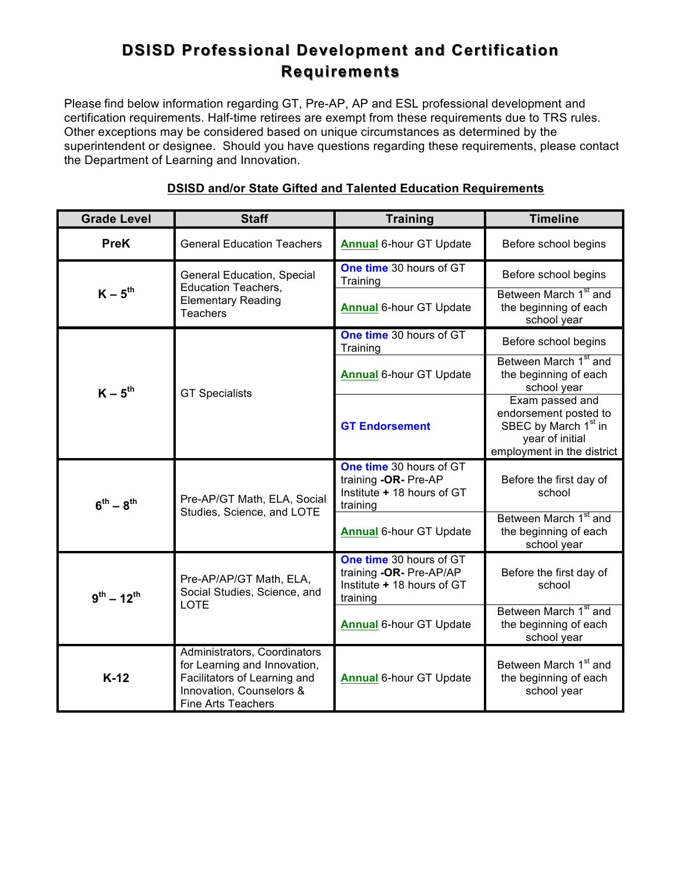# **DSISD Professional Development and Certification Requirements Requirements**

Please find below information regarding GT, Pre-AP, AP and ESL professional development and certification requirements. Half-time retirees are exempt from these requirements due to TRS rules. Other exceptions may be considered based on unique circumstances as determined by the superintendent or designee. Should you have questions regarding these requirements, please contact the Department of Learning and Innovation.

| <b>Grade Level</b> | <b>Staff</b>                                                                                                                                          | <b>Training</b>                                                                              | <b>Timeline</b>                                                                                                               |
|--------------------|-------------------------------------------------------------------------------------------------------------------------------------------------------|----------------------------------------------------------------------------------------------|-------------------------------------------------------------------------------------------------------------------------------|
| <b>PreK</b>        | <b>General Education Teachers</b>                                                                                                                     | <b>Annual 6-hour GT Update</b>                                                               | Before school begins                                                                                                          |
| $K - 5^{th}$       | <b>General Education, Special</b><br><b>Education Teachers,</b><br><b>Elementary Reading</b><br><b>Teachers</b>                                       | One time 30 hours of GT<br>Training                                                          | Before school begins                                                                                                          |
|                    |                                                                                                                                                       | <b>Annual 6-hour GT Update</b>                                                               | Between March 1 <sup>st</sup> and<br>the beginning of each<br>school year                                                     |
| $K - 5^{th}$       | <b>GT Specialists</b>                                                                                                                                 | One time 30 hours of GT<br>Training                                                          | Before school begins                                                                                                          |
|                    |                                                                                                                                                       | <b>Annual 6-hour GT Update</b>                                                               | Between March 1 <sup>st</sup> and<br>the beginning of each<br>school year                                                     |
|                    |                                                                                                                                                       | <b>GT Endorsement</b>                                                                        | Exam passed and<br>endorsement posted to<br>SBEC by March 1 <sup>st</sup> in<br>year of initial<br>employment in the district |
| $6^{th} - 8^{th}$  | Pre-AP/GT Math, ELA, Social<br>Studies, Science, and LOTE                                                                                             | One time 30 hours of GT<br>training -OR- Pre-AP<br>Institute + 18 hours of GT<br>training    | Before the first day of<br>school                                                                                             |
|                    |                                                                                                                                                       | <b>Annual 6-hour GT Update</b>                                                               | Between March 1 <sup>st</sup> and<br>the beginning of each<br>school year                                                     |
| $9^{th} - 12^{th}$ | Pre-AP/AP/GT Math, ELA,<br>Social Studies, Science, and<br><b>LOTE</b>                                                                                | One time 30 hours of GT<br>training -OR- Pre-AP/AP<br>Institute + 18 hours of GT<br>training | Before the first day of<br>school                                                                                             |
|                    |                                                                                                                                                       | <b>Annual 6-hour GT Update</b>                                                               | Between March 1 <sup>st</sup> and<br>the beginning of each<br>school year                                                     |
| $K-12$             | Administrators, Coordinators<br>for Learning and Innovation,<br>Facilitators of Learning and<br>Innovation, Counselors &<br><b>Fine Arts Teachers</b> | <b>Annual 6-hour GT Update</b>                                                               | Between March 1 <sup>st</sup> and<br>the beginning of each<br>school year                                                     |

# **DSISD and/or State Gifted and Talented Education Requirements**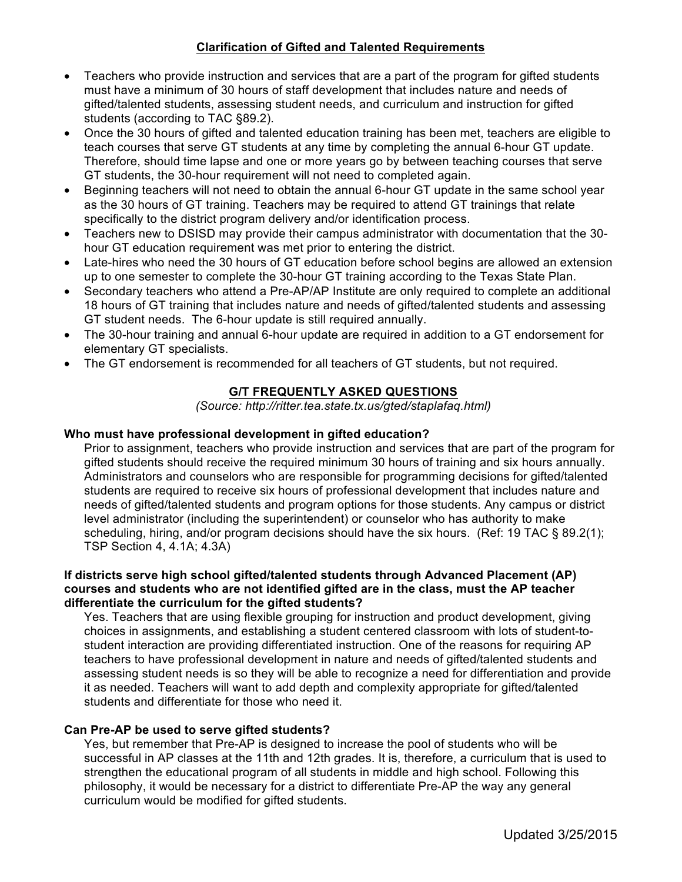## **Clarification of Gifted and Talented Requirements**

- Teachers who provide instruction and services that are a part of the program for gifted students must have a minimum of 30 hours of staff development that includes nature and needs of gifted/talented students, assessing student needs, and curriculum and instruction for gifted students (according to TAC §89.2).
- Once the 30 hours of gifted and talented education training has been met, teachers are eligible to teach courses that serve GT students at any time by completing the annual 6-hour GT update. Therefore, should time lapse and one or more years go by between teaching courses that serve GT students, the 30-hour requirement will not need to completed again.
- Beginning teachers will not need to obtain the annual 6-hour GT update in the same school year as the 30 hours of GT training. Teachers may be required to attend GT trainings that relate specifically to the district program delivery and/or identification process.
- Teachers new to DSISD may provide their campus administrator with documentation that the 30 hour GT education requirement was met prior to entering the district.
- Late-hires who need the 30 hours of GT education before school begins are allowed an extension up to one semester to complete the 30-hour GT training according to the Texas State Plan.
- Secondary teachers who attend a Pre-AP/AP Institute are only required to complete an additional 18 hours of GT training that includes nature and needs of gifted/talented students and assessing GT student needs. The 6-hour update is still required annually.
- The 30-hour training and annual 6-hour update are required in addition to a GT endorsement for elementary GT specialists.
- The GT endorsement is recommended for all teachers of GT students, but not required.

# **G/T FREQUENTLY ASKED QUESTIONS**

*(Source: http://ritter.tea.state.tx.us/gted/staplafaq.html)*

### **Who must have professional development in gifted education?**

Prior to assignment, teachers who provide instruction and services that are part of the program for gifted students should receive the required minimum 30 hours of training and six hours annually. Administrators and counselors who are responsible for programming decisions for gifted/talented students are required to receive six hours of professional development that includes nature and needs of gifted/talented students and program options for those students. Any campus or district level administrator (including the superintendent) or counselor who has authority to make scheduling, hiring, and/or program decisions should have the six hours. (Ref: 19 TAC § 89.2(1); TSP Section 4, 4.1A; 4.3A)

#### **If districts serve high school gifted/talented students through Advanced Placement (AP) courses and students who are not identified gifted are in the class, must the AP teacher differentiate the curriculum for the gifted students?**

Yes. Teachers that are using flexible grouping for instruction and product development, giving choices in assignments, and establishing a student centered classroom with lots of student-tostudent interaction are providing differentiated instruction. One of the reasons for requiring AP teachers to have professional development in nature and needs of gifted/talented students and assessing student needs is so they will be able to recognize a need for differentiation and provide it as needed. Teachers will want to add depth and complexity appropriate for gifted/talented students and differentiate for those who need it.

#### **Can Pre-AP be used to serve gifted students?**

Yes, but remember that Pre-AP is designed to increase the pool of students who will be successful in AP classes at the 11th and 12th grades. It is, therefore, a curriculum that is used to strengthen the educational program of all students in middle and high school. Following this philosophy, it would be necessary for a district to differentiate Pre-AP the way any general curriculum would be modified for gifted students.